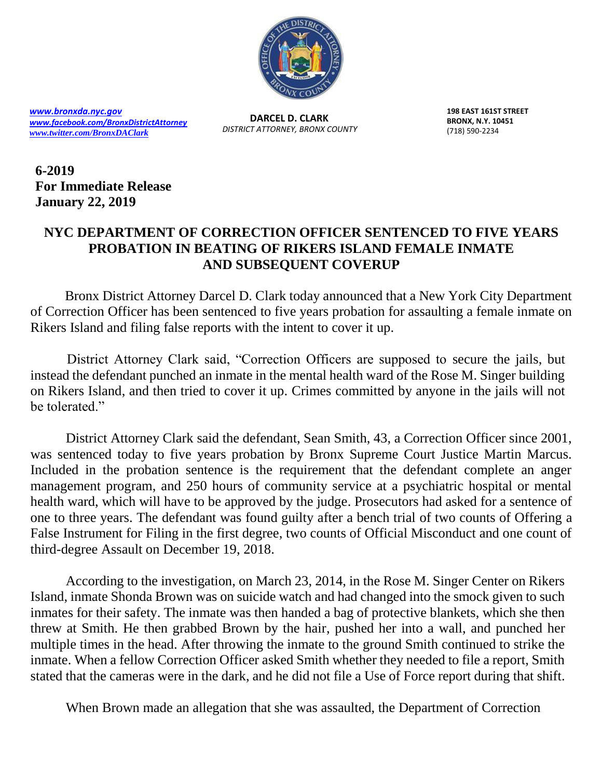

*[www.bronxda.nyc.gov](http://www.bronxda.nyc.gov/) [www.facebook.com/BronxDistrictAttorney](file://///bronxda.nycnet/shares/UNITS/PUBLIC-INFORMATION/Public-Information/2016/www.facebook.com/BronxDistrictAttorney) [www.twitter.com/BronxDAClark](file://///bronxda.nycnet/shares/UNITS/PUBLIC-INFORMATION/Public-Information/2016/www.twitter.com/BronxDAClark)*

**DARCEL D. CLARK** *DISTRICT ATTORNEY, BRONX COUNTY* **198 EAST 161ST STREET BRONX, N.Y. 10451** (718) 590-2234

**6-2019 For Immediate Release January 22, 2019** 

## **NYC DEPARTMENT OF CORRECTION OFFICER SENTENCED TO FIVE YEARS PROBATION IN BEATING OF RIKERS ISLAND FEMALE INMATE AND SUBSEQUENT COVERUP**

Bronx District Attorney Darcel D. Clark today announced that a New York City Department of Correction Officer has been sentenced to five years probation for assaulting a female inmate on Rikers Island and filing false reports with the intent to cover it up.

 District Attorney Clark said, "Correction Officers are supposed to secure the jails, but instead the defendant punched an inmate in the mental health ward of the Rose M. Singer building on Rikers Island, and then tried to cover it up. Crimes committed by anyone in the jails will not be tolerated."

District Attorney Clark said the defendant, Sean Smith, 43, a Correction Officer since 2001, was sentenced today to five years probation by Bronx Supreme Court Justice Martin Marcus. Included in the probation sentence is the requirement that the defendant complete an anger management program, and 250 hours of community service at a psychiatric hospital or mental health ward, which will have to be approved by the judge. Prosecutors had asked for a sentence of one to three years. The defendant was found guilty after a bench trial of two counts of Offering a False Instrument for Filing in the first degree, two counts of Official Misconduct and one count of third-degree Assault on December 19, 2018.

According to the investigation, on March 23, 2014, in the Rose M. Singer Center on Rikers Island, inmate Shonda Brown was on suicide watch and had changed into the smock given to such inmates for their safety. The inmate was then handed a bag of protective blankets, which she then threw at Smith. He then grabbed Brown by the hair, pushed her into a wall, and punched her multiple times in the head. After throwing the inmate to the ground Smith continued to strike the inmate. When a fellow Correction Officer asked Smith whether they needed to file a report, Smith stated that the cameras were in the dark, and he did not file a Use of Force report during that shift.

When Brown made an allegation that she was assaulted, the Department of Correction